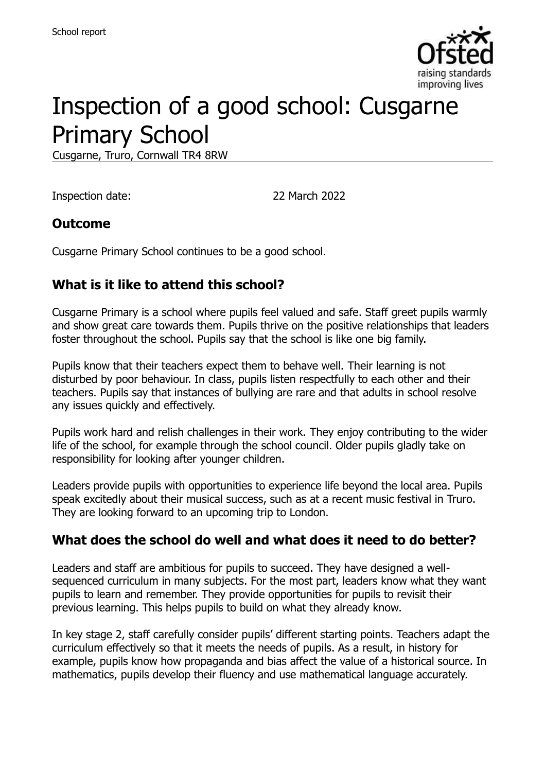

# Inspection of a good school: Cusgarne Primary School

Cusgarne, Truro, Cornwall TR4 8RW

Inspection date: 22 March 2022

#### **Outcome**

Cusgarne Primary School continues to be a good school.

### **What is it like to attend this school?**

Cusgarne Primary is a school where pupils feel valued and safe. Staff greet pupils warmly and show great care towards them. Pupils thrive on the positive relationships that leaders foster throughout the school. Pupils say that the school is like one big family.

Pupils know that their teachers expect them to behave well. Their learning is not disturbed by poor behaviour. In class, pupils listen respectfully to each other and their teachers. Pupils say that instances of bullying are rare and that adults in school resolve any issues quickly and effectively.

Pupils work hard and relish challenges in their work. They enjoy contributing to the wider life of the school, for example through the school council. Older pupils gladly take on responsibility for looking after younger children.

Leaders provide pupils with opportunities to experience life beyond the local area. Pupils speak excitedly about their musical success, such as at a recent music festival in Truro. They are looking forward to an upcoming trip to London.

#### **What does the school do well and what does it need to do better?**

Leaders and staff are ambitious for pupils to succeed. They have designed a wellsequenced curriculum in many subjects. For the most part, leaders know what they want pupils to learn and remember. They provide opportunities for pupils to revisit their previous learning. This helps pupils to build on what they already know.

In key stage 2, staff carefully consider pupils' different starting points. Teachers adapt the curriculum effectively so that it meets the needs of pupils. As a result, in history for example, pupils know how propaganda and bias affect the value of a historical source. In mathematics, pupils develop their fluency and use mathematical language accurately.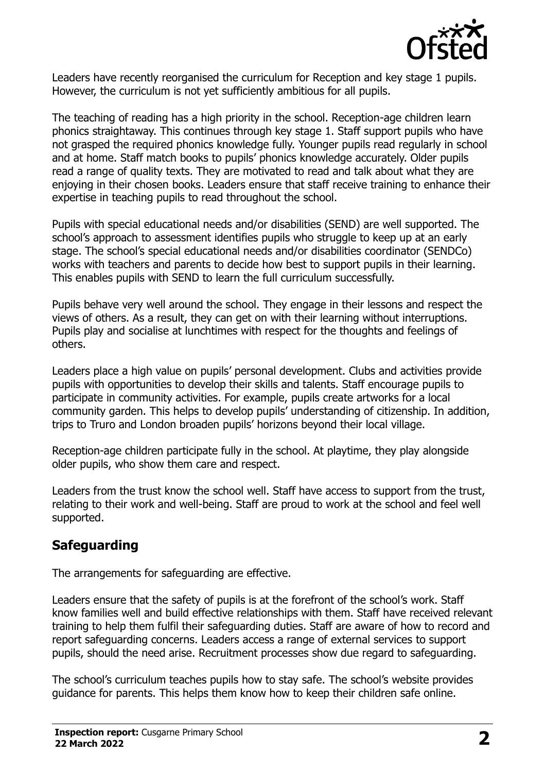

Leaders have recently reorganised the curriculum for Reception and key stage 1 pupils. However, the curriculum is not yet sufficiently ambitious for all pupils.

The teaching of reading has a high priority in the school. Reception-age children learn phonics straightaway. This continues through key stage 1. Staff support pupils who have not grasped the required phonics knowledge fully. Younger pupils read regularly in school and at home. Staff match books to pupils' phonics knowledge accurately. Older pupils read a range of quality texts. They are motivated to read and talk about what they are enjoying in their chosen books. Leaders ensure that staff receive training to enhance their expertise in teaching pupils to read throughout the school.

Pupils with special educational needs and/or disabilities (SEND) are well supported. The school's approach to assessment identifies pupils who struggle to keep up at an early stage. The school's special educational needs and/or disabilities coordinator (SENDCo) works with teachers and parents to decide how best to support pupils in their learning. This enables pupils with SEND to learn the full curriculum successfully.

Pupils behave very well around the school. They engage in their lessons and respect the views of others. As a result, they can get on with their learning without interruptions. Pupils play and socialise at lunchtimes with respect for the thoughts and feelings of others.

Leaders place a high value on pupils' personal development. Clubs and activities provide pupils with opportunities to develop their skills and talents. Staff encourage pupils to participate in community activities. For example, pupils create artworks for a local community garden. This helps to develop pupils' understanding of citizenship. In addition, trips to Truro and London broaden pupils' horizons beyond their local village.

Reception-age children participate fully in the school. At playtime, they play alongside older pupils, who show them care and respect.

Leaders from the trust know the school well. Staff have access to support from the trust, relating to their work and well-being. Staff are proud to work at the school and feel well supported.

# **Safeguarding**

The arrangements for safeguarding are effective.

Leaders ensure that the safety of pupils is at the forefront of the school's work. Staff know families well and build effective relationships with them. Staff have received relevant training to help them fulfil their safeguarding duties. Staff are aware of how to record and report safeguarding concerns. Leaders access a range of external services to support pupils, should the need arise. Recruitment processes show due regard to safeguarding.

The school's curriculum teaches pupils how to stay safe. The school's website provides guidance for parents. This helps them know how to keep their children safe online.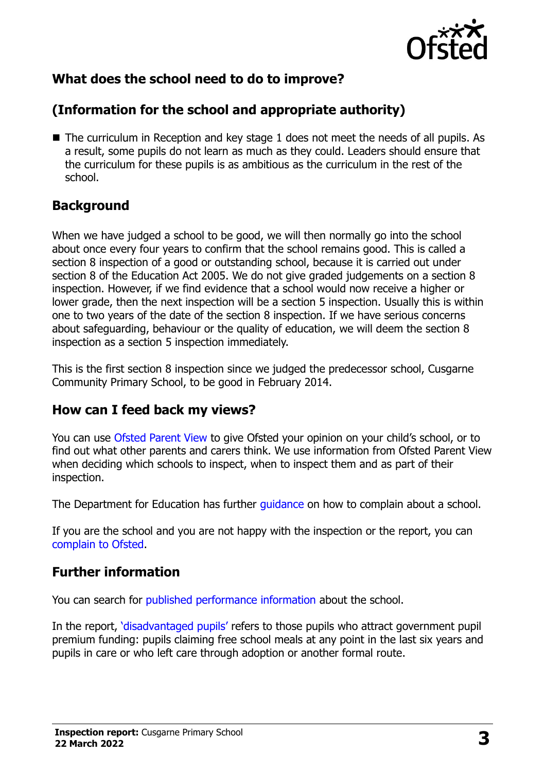

# **What does the school need to do to improve?**

# **(Information for the school and appropriate authority)**

■ The curriculum in Reception and key stage 1 does not meet the needs of all pupils. As a result, some pupils do not learn as much as they could. Leaders should ensure that the curriculum for these pupils is as ambitious as the curriculum in the rest of the school.

### **Background**

When we have judged a school to be good, we will then normally go into the school about once every four years to confirm that the school remains good. This is called a section 8 inspection of a good or outstanding school, because it is carried out under section 8 of the Education Act 2005. We do not give graded judgements on a section 8 inspection. However, if we find evidence that a school would now receive a higher or lower grade, then the next inspection will be a section 5 inspection. Usually this is within one to two years of the date of the section 8 inspection. If we have serious concerns about safeguarding, behaviour or the quality of education, we will deem the section 8 inspection as a section 5 inspection immediately.

This is the first section 8 inspection since we judged the predecessor school, Cusgarne Community Primary School, to be good in February 2014.

#### **How can I feed back my views?**

You can use [Ofsted Parent View](https://parentview.ofsted.gov.uk/) to give Ofsted your opinion on your child's school, or to find out what other parents and carers think. We use information from Ofsted Parent View when deciding which schools to inspect, when to inspect them and as part of their inspection.

The Department for Education has further quidance on how to complain about a school.

If you are the school and you are not happy with the inspection or the report, you can [complain to Ofsted.](https://www.gov.uk/complain-ofsted-report)

# **Further information**

You can search for [published performance information](http://www.compare-school-performance.service.gov.uk/) about the school.

In the report, '[disadvantaged pupils](http://www.gov.uk/guidance/pupil-premium-information-for-schools-and-alternative-provision-settings)' refers to those pupils who attract government pupil premium funding: pupils claiming free school meals at any point in the last six years and pupils in care or who left care through adoption or another formal route.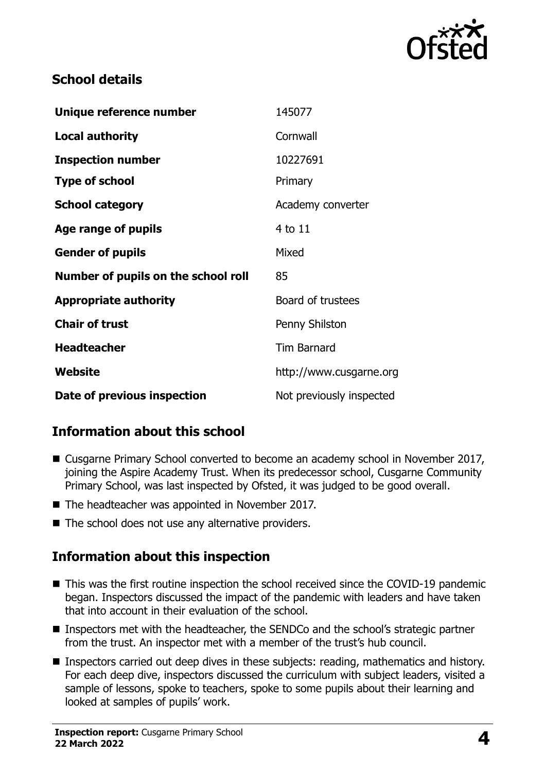

## **School details**

| Unique reference number             | 145077                   |
|-------------------------------------|--------------------------|
| <b>Local authority</b>              | Cornwall                 |
| <b>Inspection number</b>            | 10227691                 |
| <b>Type of school</b>               | Primary                  |
| <b>School category</b>              | Academy converter        |
| Age range of pupils                 | 4 to 11                  |
| <b>Gender of pupils</b>             | Mixed                    |
| Number of pupils on the school roll | 85                       |
| <b>Appropriate authority</b>        | Board of trustees        |
| <b>Chair of trust</b>               | Penny Shilston           |
| <b>Headteacher</b>                  | <b>Tim Barnard</b>       |
| Website                             | http://www.cusgarne.org  |
| Date of previous inspection         | Not previously inspected |

# **Information about this school**

- Cusgarne Primary School converted to become an academy school in November 2017, joining the Aspire Academy Trust. When its predecessor school, Cusgarne Community Primary School, was last inspected by Ofsted, it was judged to be good overall.
- The headteacher was appointed in November 2017.
- $\blacksquare$  The school does not use any alternative providers.

#### **Information about this inspection**

- This was the first routine inspection the school received since the COVID-19 pandemic began. Inspectors discussed the impact of the pandemic with leaders and have taken that into account in their evaluation of the school.
- Inspectors met with the headteacher, the SENDCo and the school's strategic partner from the trust. An inspector met with a member of the trust's hub council.
- **Inspectors carried out deep dives in these subjects: reading, mathematics and history.** For each deep dive, inspectors discussed the curriculum with subject leaders, visited a sample of lessons, spoke to teachers, spoke to some pupils about their learning and looked at samples of pupils' work.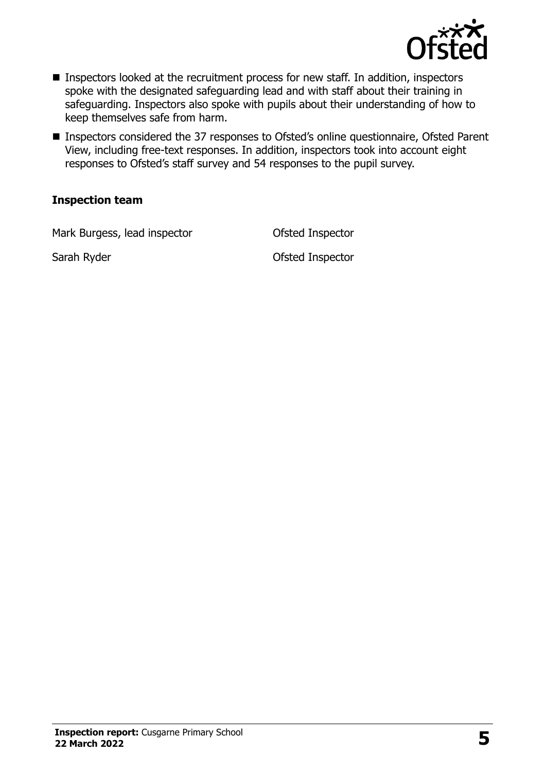

- Inspectors looked at the recruitment process for new staff. In addition, inspectors spoke with the designated safeguarding lead and with staff about their training in safeguarding. Inspectors also spoke with pupils about their understanding of how to keep themselves safe from harm.
- Inspectors considered the 37 responses to Ofsted's online questionnaire, Ofsted Parent View, including free-text responses. In addition, inspectors took into account eight responses to Ofsted's staff survey and 54 responses to the pupil survey.

#### **Inspection team**

Mark Burgess, lead inspector **Conservation** Ofsted Inspector

Sarah Ryder **Calculation** Controller Controller Controller Controller Controller Controller Controller Controller